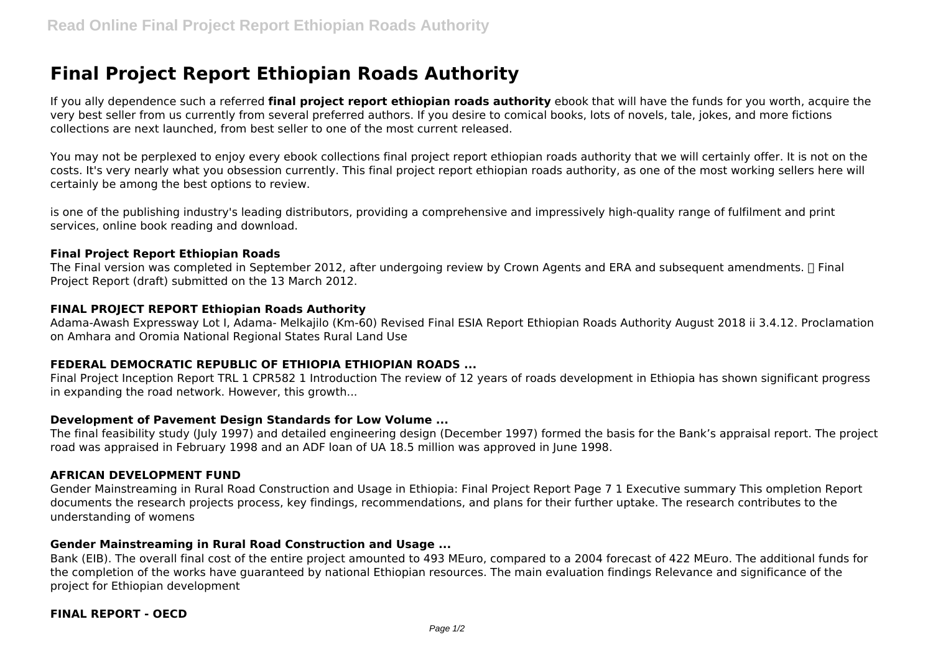# **Final Project Report Ethiopian Roads Authority**

If you ally dependence such a referred **final project report ethiopian roads authority** ebook that will have the funds for you worth, acquire the very best seller from us currently from several preferred authors. If you desire to comical books, lots of novels, tale, jokes, and more fictions collections are next launched, from best seller to one of the most current released.

You may not be perplexed to enjoy every ebook collections final project report ethiopian roads authority that we will certainly offer. It is not on the costs. It's very nearly what you obsession currently. This final project report ethiopian roads authority, as one of the most working sellers here will certainly be among the best options to review.

is one of the publishing industry's leading distributors, providing a comprehensive and impressively high-quality range of fulfilment and print services, online book reading and download.

### **Final Project Report Ethiopian Roads**

The Final version was completed in September 2012, after undergoing review by Crown Agents and ERA and subsequent amendments.  $\Box$  Final Project Report (draft) submitted on the 13 March 2012.

#### **FINAL PROJECT REPORT Ethiopian Roads Authority**

Adama-Awash Expressway Lot I, Adama- Melkajilo (Km-60) Revised Final ESIA Report Ethiopian Roads Authority August 2018 ii 3.4.12. Proclamation on Amhara and Oromia National Regional States Rural Land Use

### **FEDERAL DEMOCRATIC REPUBLIC OF ETHIOPIA ETHIOPIAN ROADS ...**

Final Project Inception Report TRL 1 CPR582 1 Introduction The review of 12 years of roads development in Ethiopia has shown significant progress in expanding the road network. However, this growth...

### **Development of Pavement Design Standards for Low Volume ...**

The final feasibility study (July 1997) and detailed engineering design (December 1997) formed the basis for the Bank's appraisal report. The project road was appraised in February 1998 and an ADF loan of UA 18.5 million was approved in June 1998.

#### **AFRICAN DEVELOPMENT FUND**

Gender Mainstreaming in Rural Road Construction and Usage in Ethiopia: Final Project Report Page 7 1 Executive summary This ompletion Report documents the research projects process, key findings, recommendations, and plans for their further uptake. The research contributes to the understanding of womens

### **Gender Mainstreaming in Rural Road Construction and Usage ...**

Bank (EIB). The overall final cost of the entire project amounted to 493 MEuro, compared to a 2004 forecast of 422 MEuro. The additional funds for the completion of the works have guaranteed by national Ethiopian resources. The main evaluation findings Relevance and significance of the project for Ethiopian development

### **FINAL REPORT - OECD**